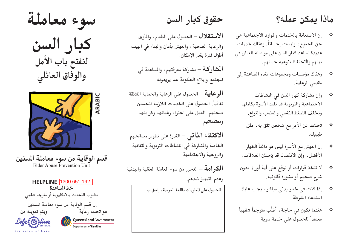## ماذا يمكن عمله؟

- إن الاستعانة بالخدمات والموارد الاجتماعية هي ♦ حق للجميع ، وليست إحساناً. وهناك خدمات عديدة تساعد كبار السن على مواصلة العيش في بيتهم والاحتفاظ بنوعية حياتهم.
- وهناك مؤسسات ومجموعات تقدم المساعدة إلى  $\Leftrightarrow$ مقدمى الرعاية.
	- وإن مشاركة كبار السن في النشاطات  $\Leftrightarrow$ الاجتماعية والتربوية قد تفيد الأسرة بكاملها وتخفف الضغط النفسي والغضب والنزاع.
		- تحدَّث عن الأمر مع شخص تثق به، مثل ♦ طبيبك .
	- إن العيش مع الأسرة ليس هو دائماً الخيار  $\Leftrightarrow$ الأفضل، وإنَّ الانفصال قد يُحسِّن العلاقات.
- لا تتخذ قرارات أو توقع على أية أوراق بدون ♦ شرح صحيح أو مشورة قانونية.
- إذا كنت في خطر بدني مباشر، يجب عليك ♦ استدعاء الشرطة .
- عندما تكون في حاجة ، أطلُب مترجماً شفهياً ✧ معتمَداً للحصول على خدمة سرية.

حقوق كبار السن

الاستقلال – الحصول على الطعام، والمأوى والرعاية الصحية، والعيش بأمان والبقاء في البيت أطوَل فترة بقدر الإمكان.

المشاركة – مشاركة معرفتهم، والمساهمة في الجتمع وإبلاغ الحكومة عما يريدونه.

**الرعاية** – الحصول على الرعاية والحماية اللائقة ثقافياً. الحصول على الخدمات اللازمة لتحسين صحتهم. العمل على احترام رغباتهم وكرامتهم ومعتقداتهم.

**الاكتفاء الذاتي** – القدرة على تطوير مصالحهم الخاصة والشاركة في النشاطات التربوية والثقافية والروحية والاجتماعية.

الكرامة – التحرر من سوء المعاملة العقلية والبدنية وعدم التمييز ضدهم.

للحصول على المعلومات باللغة العربية، إتصل بِ

سوء معاملة

كبار السن لنفتح باب الأمل<br>والوفاق العائلي



قسم الوقاية من سوء معاملة المسنين<br>Elder Abuse Prevention Unit